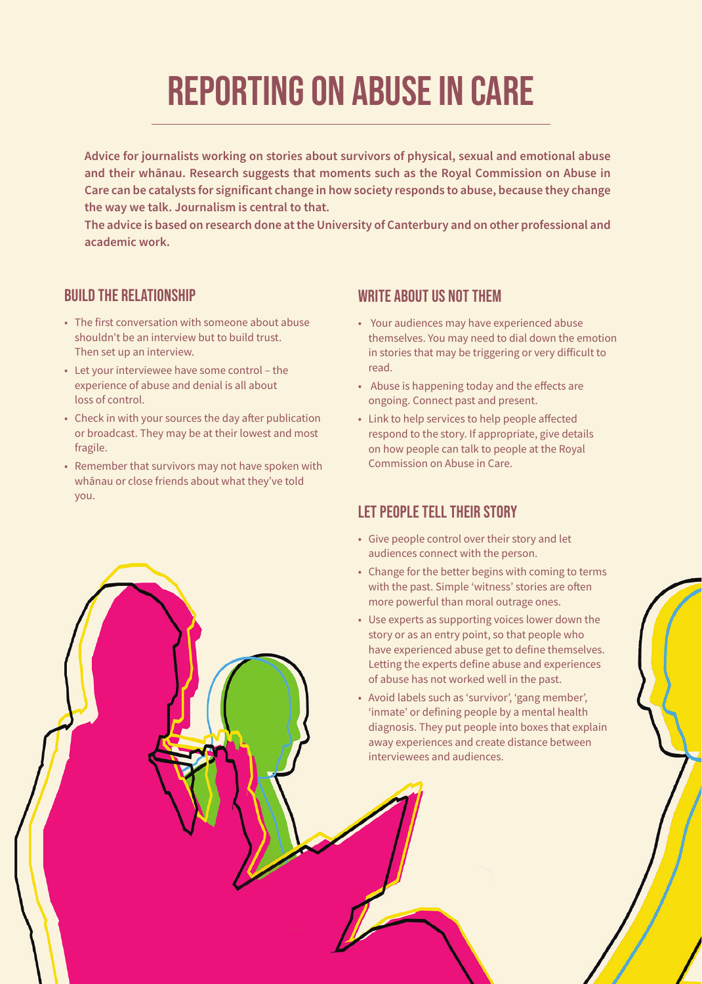# **REPORTING ON ABUSE IN CARE**

**Advice for journalists working on stories about survivors of physical, sexual and emotional abuse and their whānau. Research suggests that moments such as the Royal Commission on Abuse in Care can be catalysts for significant change in how society responds to abuse, because they change the way we talk. Journalism is central to that.**

**The advice is based on research done at the University of Canterbury and on other professional and academic work.**

#### **BUILD THE RELATIONSHIP**

- The first conversation with someone about abuse shouldn't be an interview but to build trust. Then set up an interview.
- Let your interviewee have some control the experience of abuse and denial is all about loss of control.
- Check in with your sources the day after publication or broadcast. They may be at their lowest and most fragile.
- Remember that survivors may not have spoken with whānau or close friends about what they've told you.

#### **WRITE ABOUT US NOT THEM**

- Your audiences may have experienced abuse themselves. You may need to dial down the emotion in stories that may be triggering or very difficult to read.
- Abuse is happening today and the effects are ongoing. Connect past and present.
- Link to help services to help people affected respond to the story. If appropriate, give details on how people can talk to people at the Royal Commission on Abuse in Care.

#### **LET PEOPLE TELL THEIR STORY**

- Give people control over their story and let audiences connect with the person.
- Change for the better begins with coming to terms with the past. Simple 'witness' stories are often more powerful than moral outrage ones.
- Use experts as supporting voices lower down the story or as an entry point, so that people who have experienced abuse get to define themselves. Letting the experts define abuse and experiences of abuse has not worked well in the past.
- Avoid labels such as 'survivor', 'gang member', 'inmate' or defining people by a mental health diagnosis. They put people into boxes that explain away experiences and create distance between interviewees and audiences.